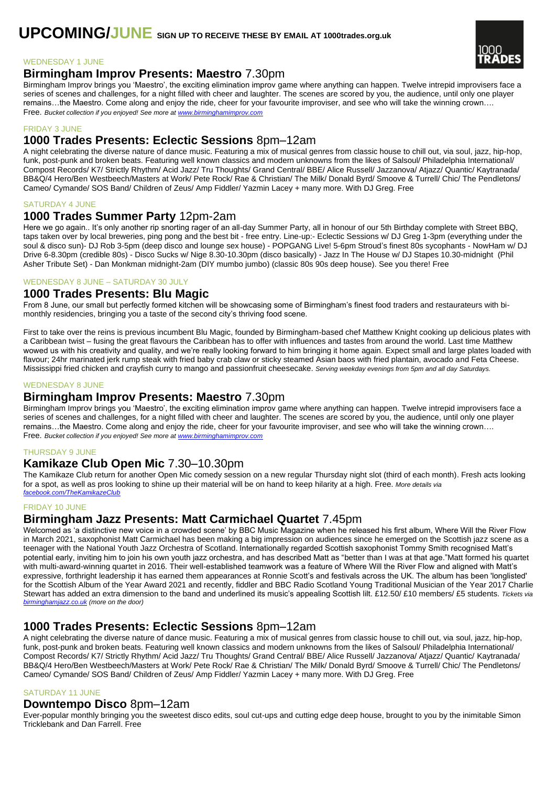

#### WEDNESDAY 1 JUNE

# **Birmingham Improv Presents: Maestro** 7.30pm

Birmingham Improv brings you 'Maestro', the exciting elimination improv game where anything can happen. Twelve intrepid improvisers face a series of scenes and challenges, for a night filled with cheer and laughter. The scenes are scored by you, the audience, until only one player remains…the Maestro. Come along and enjoy the ride, cheer for your favourite improviser, and see who will take the winning crown…. Free. *Bucket collection if you enjoyed! See more at [www.birminghamimprov.com](http://www.birminghamimprov.com/)*

### FRIDAY 3 JUNE

# **1000 Trades Presents: Eclectic Sessions** 8pm–12am

A night celebrating the diverse nature of dance music. Featuring a mix of musical genres from classic house to chill out, via soul, jazz, hip-hop, funk, post-punk and broken beats. Featuring well known classics and modern unknowns from the likes of Salsoul/ Philadelphia International/ Compost Records/ K7/ Strictly Rhythm/ Acid Jazz/ Tru Thoughts/ Grand Central/ BBE/ Alice Russell/ Jazzanova/ Atjazz/ Quantic/ Kaytranada/ BB&Q/4 Hero/Ben Westbeech/Masters at Work/ Pete Rock/ Rae & Christian/ The Milk/ Donald Byrd/ Smoove & Turrell/ Chic/ The Pendletons/ Cameo/ Cymande/ SOS Band/ Children of Zeus/ Amp Fiddler/ Yazmin Lacey + many more. With DJ Greg. Free

#### SATURDAY 4 JUNE

## **1000 Trades Summer Party** 12pm-2am

Here we go again.. It's only another rip snorting rager of an all-day Summer Party, all in honour of our 5th Birthday complete with Street BBQ, taps taken over by local breweries, ping pong and the best bit - free entry. Line-up:- Eclectic Sessions w/ DJ Greg 1-3pm (everything under the soul & disco sun)- DJ Rob 3-5pm (deep disco and lounge sex house) - POPGANG Live! 5-6pm Stroud's finest 80s sycophants - NowHam w/ DJ Drive 6-8.30pm (credible 80s) - Disco Sucks w/ Nige 8.30-10.30pm (disco basically) - Jazz In The House w/ DJ Stapes 10.30-midnight (Phil Asher Tribute Set) - Dan Monkman midnight-2am (DIY mumbo jumbo) (classic 80s 90s deep house). See you there! Free

### WEDNESDAY 8 JUNE – SATURDAY 30 JULY

# **1000 Trades Presents: Blu Magic**

From 8 June, our small but perfectly formed kitchen will be showcasing some of Birmingham's finest food traders and restaurateurs with bimonthly residencies, bringing you a taste of the second city's thriving food scene.

First to take over the reins is previous incumbent Blu Magic, founded by Birmingham-based chef Matthew Knight cooking up delicious plates with a Caribbean twist – fusing the great flavours the Caribbean has to offer with influences and tastes from around the world. Last time Matthew wowed us with his creativity and quality, and we're really looking forward to him bringing it home again. Expect small and large plates loaded with flavour; 24hr marinated jerk rump steak with fried baby crab claw or sticky steamed Asian baos with fried plantain, avocado and Feta Cheese. Mississippi fried chicken and crayfish curry to mango and passionfruit cheesecake. *Serving weekday evenings from 5pm and all day Saturdays.*

#### WEDNESDAY 8 JUNE

## **Birmingham Improv Presents: Maestro** 7.30pm

Birmingham Improv brings you 'Maestro', the exciting elimination improv game where anything can happen. Twelve intrepid improvisers face a series of scenes and challenges, for a night filled with cheer and laughter. The scenes are scored by you, the audience, until only one player remains…the Maestro. Come along and enjoy the ride, cheer for your favourite improviser, and see who will take the winning crown…. Free. *Bucket collection if you enjoyed! See more at [www.birminghamimprov.com](http://www.birminghamimprov.com/)*

### THURSDAY 9 JUNE

# **Kamikaze Club Open Mic** 7.30–10.30pm

The Kamikaze Club return for another Open Mic comedy session on a new regular Thursday night slot (third of each month). Fresh acts looking for a spot, as well as pros looking to shine up their material will be on hand to keep hilarity at a high. Free. *More details via [facebook.com/TheKamikazeClub](http://www.facebook.com/TheKamikazeClub)*

### FRIDAY 10 JUNE

## **Birmingham Jazz Presents: Matt Carmichael Quartet** 7.45pm

Welcomed as 'a distinctive new voice in a crowded scene' by BBC Music Magazine when he released his first album, Where Will the River Flow in March 2021, saxophonist Matt Carmichael has been making a big impression on audiences since he emerged on the Scottish jazz scene as a teenager with the National Youth Jazz Orchestra of Scotland. Internationally regarded Scottish saxophonist Tommy Smith recognised Matt's potential early, inviting him to join his own youth jazz orchestra, and has described Matt as "better than I was at that age."Matt formed his quartet with multi-award-winning quartet in 2016. Their well-established teamwork was a feature of Where Will the River Flow and aligned with Matt's expressive, forthright leadership it has earned them appearances at Ronnie Scott's and festivals across the UK. The album has been 'longlisted' for the Scottish Album of the Year Award 2021 and recently, fiddler and BBC Radio Scotland Young Traditional Musician of the Year 2017 Charlie Stewart has added an extra dimension to the band and underlined its music's appealing Scottish lilt. £12.50/ £10 members/ £5 students. *Tickets via [birminghamjazz.co.uk](http://www.birminghamjazz.co.uk/) (more on the door)*

## **1000 Trades Presents: Eclectic Sessions** 8pm–12am

A night celebrating the diverse nature of dance music. Featuring a mix of musical genres from classic house to chill out, via soul, jazz, hip-hop, funk, post-punk and broken beats. Featuring well known classics and modern unknowns from the likes of Salsoul/ Philadelphia International/ Compost Records/ K7/ Strictly Rhythm/ Acid Jazz/ Tru Thoughts/ Grand Central/ BBE/ Alice Russell/ Jazzanova/ Atjazz/ Quantic/ Kaytranada/ BB&Q/4 Hero/Ben Westbeech/Masters at Work/ Pete Rock/ Rae & Christian/ The Milk/ Donald Byrd/ Smoove & Turrell/ Chic/ The Pendletons/ Cameo/ Cymande/ SOS Band/ Children of Zeus/ Amp Fiddler/ Yazmin Lacey + many more. With DJ Greg. Free

#### SATURDAY 11 JUNE

### **Downtempo Disco** 8pm–12am

Ever-popular monthly bringing you the sweetest disco edits, soul cut-ups and cutting edge deep house, brought to you by the inimitable Simon Tricklebank and Dan Farrell. Free